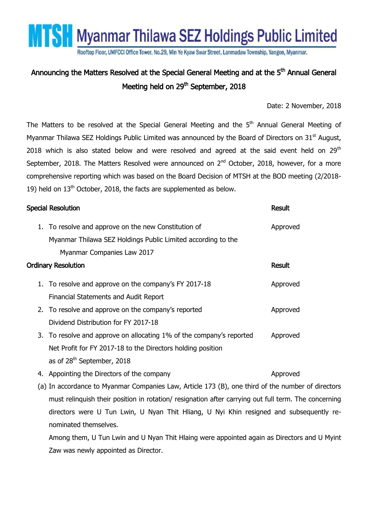**MTSH** Myanmar Thilawa SEZ Holdings Public Limited

Rooftop Floor, UMFCCI Office Tower, No.29, Min Ye Kyaw Swar Street, Lanmadaw Township, Yangon, Myanmar.

## Announcing the Matters Resolved at the Special General Meeting and at the 5<sup>th</sup> Annual General Meeting held on 29<sup>th</sup> September, 2018

## Date: 2 November, 2018

The Matters to be resolved at the Special General Meeting and the  $5<sup>th</sup>$  Annual General Meeting of Myanmar Thilawa SEZ Holdings Public Limited was announced by the Board of Directors on 31<sup>st</sup> August, 2018 which is also stated below and were resolved and agreed at the said event held on  $29<sup>th</sup>$ September, 2018. The Matters Resolved were announced on  $2^{nd}$  October, 2018, however, for a more comprehensive reporting which was based on the Board Decision of MTSH at the BOD meeting (2/2018- 19) held on  $13<sup>th</sup>$  October, 2018, the facts are supplemented as below.

| <b>Special Resolution</b>                                                                         |                                                                      | <b>Result</b> |
|---------------------------------------------------------------------------------------------------|----------------------------------------------------------------------|---------------|
|                                                                                                   | 1. To resolve and approve on the new Constitution of                 | Approved      |
|                                                                                                   | Myanmar Thilawa SEZ Holdings Public Limited according to the         |               |
|                                                                                                   | Myanmar Companies Law 2017                                           |               |
| <b>Ordinary Resolution</b>                                                                        |                                                                      | <b>Result</b> |
|                                                                                                   | 1. To resolve and approve on the company's FY 2017-18                | Approved      |
|                                                                                                   | Financial Statements and Audit Report                                |               |
|                                                                                                   | 2. To resolve and approve on the company's reported                  | Approved      |
|                                                                                                   | Dividend Distribution for FY 2017-18                                 |               |
|                                                                                                   | 3. To resolve and approve on allocating 1% of the company's reported | Approved      |
|                                                                                                   | Net Profit for FY 2017-18 to the Directors holding position          |               |
|                                                                                                   | as of 28 <sup>th</sup> September, 2018                               |               |
|                                                                                                   | 4. Appointing the Directors of the company                           | Approved      |
| (a) In accordance to Myanmar Companies Law, Article 173 (B), one third of the number of directors |                                                                      |               |
|                                                                                                   |                                                                      |               |

must relinquish their position in rotation/ resignation after carrying out full term. The concerning directors were U Tun Lwin, U Nyan Thit Hliang, U Nyi Khin resigned and subsequently renominated themselves.

Among them, U Tun Lwin and U Nyan Thit Hlaing were appointed again as Directors and U Myint Zaw was newly appointed as Director.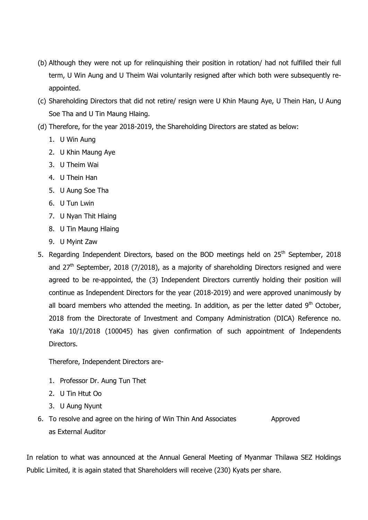- (b) Although they were not up for relinquishing their position in rotation/ had not fulfilled their full term, U Win Aung and U Theim Wai voluntarily resigned after which both were subsequently reappointed.
- (c) Shareholding Directors that did not retire/ resign were U Khin Maung Aye, U Thein Han, U Aung Soe Tha and U Tin Maung Hlaing.
- (d) Therefore, for the year 2018-2019, the Shareholding Directors are stated as below:
	- 1. U Win Aung
	- 2. U Khin Maung Aye
	- 3. U Theim Wai
	- 4. U Thein Han
	- 5. U Aung Soe Tha
	- 6. U Tun Lwin
	- 7. U Nyan Thit Hlaing
	- 8. U Tin Maung Hlaing
	- 9. U Myint Zaw
- 5. Regarding Independent Directors, based on the BOD meetings held on 25<sup>th</sup> September, 2018 and  $27<sup>th</sup>$  September, 2018 (7/2018), as a majority of shareholding Directors resigned and were agreed to be re-appointed, the (3) Independent Directors currently holding their position will continue as Independent Directors for the year (2018-2019) and were approved unanimously by all board members who attended the meeting. In addition, as per the letter dated  $9<sup>th</sup>$  October, 2018 from the Directorate of Investment and Company Administration (DICA) Reference no. YaKa 10/1/2018 (100045) has given confirmation of such appointment of Independents Directors.

Therefore, Independent Directors are-

- 1. Professor Dr. Aung Tun Thet
- 2. U Tin Htut Oo
- 3. U Aung Nyunt
- 6. To resolve and agree on the hiring of Win Thin And Associates Approved as External Auditor

In relation to what was announced at the Annual General Meeting of Myanmar Thilawa SEZ Holdings Public Limited, it is again stated that Shareholders will receive (230) Kyats per share.